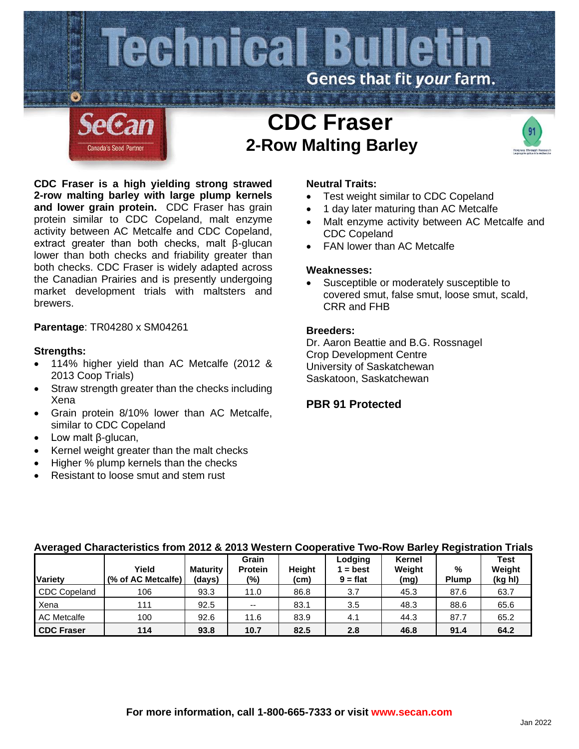

**CDC Fraser is a high yielding strong strawed 2-row malting barley with large plump kernels and lower grain protein.** CDC Fraser has grain protein similar to CDC Copeland, malt enzyme activity between AC Metcalfe and CDC Copeland, extract greater than both checks, malt β-glucan lower than both checks and friability greater than both checks. CDC Fraser is widely adapted across the Canadian Prairies and is presently undergoing market development trials with maltsters and brewers.

# **Parentage**: TR04280 x SM04261

## **Strengths:**

- 114% higher yield than AC Metcalfe (2012 & 2013 Coop Trials)
- Straw strength greater than the checks including Xena
- Grain protein 8/10% lower than AC Metcalfe, similar to CDC Copeland
- Low malt β-glucan,
- Kernel weight greater than the malt checks
- Higher % plump kernels than the checks
- Resistant to loose smut and stem rust

## **Neutral Traits:**

- Test weight similar to CDC Copeland
- 1 day later maturing than AC Metcalfe
- Malt enzyme activity between AC Metcalfe and CDC Copeland
- FAN lower than AC Metcalfe

## **Weaknesses:**

Susceptible or moderately susceptible to covered smut, false smut, loose smut, scald, CRR and FHB

### **Breeders:**

Dr. Aaron Beattie and B.G. Rossnagel Crop Development Centre University of Saskatchewan Saskatoon, Saskatchewan

# **PBR 91 Protected**

| <b>Variety</b>      | Yield<br>(% of AC Metcalfe) | <b>Maturity</b><br>(days) | Grain<br><b>Protein</b><br>$(\%)$ | Height<br>(cm) | Lodging<br>$=$ best<br>$9 = flat$ | Kernel<br>Weight<br>(mg) | %<br><b>Plump</b> | <b>Test</b><br>Weight<br>(kg hl) |
|---------------------|-----------------------------|---------------------------|-----------------------------------|----------------|-----------------------------------|--------------------------|-------------------|----------------------------------|
| <b>CDC Copeland</b> | 106                         | 93.3                      | 11.0                              | 86.8           | 3.7                               | 45.3                     | 87.6              | 63.7                             |
| Xena                | 111                         | 92.5                      | $- -$                             | 83.1           | 3.5                               | 48.3                     | 88.6              | 65.6                             |
| <b>AC Metcalfe</b>  | 100                         | 92.6                      | 11.6                              | 83.9           | 4.1                               | 44.3                     | 87.7              | 65.2                             |
| <b>CDC Fraser</b>   | 114                         | 93.8                      | 10.7                              | 82.5           | 2.8                               | 46.8                     | 91.4              | 64.2                             |

#### **Averaged Characteristics from 2012 & 2013 Western Cooperative Two-Row Barley Registration Trials**